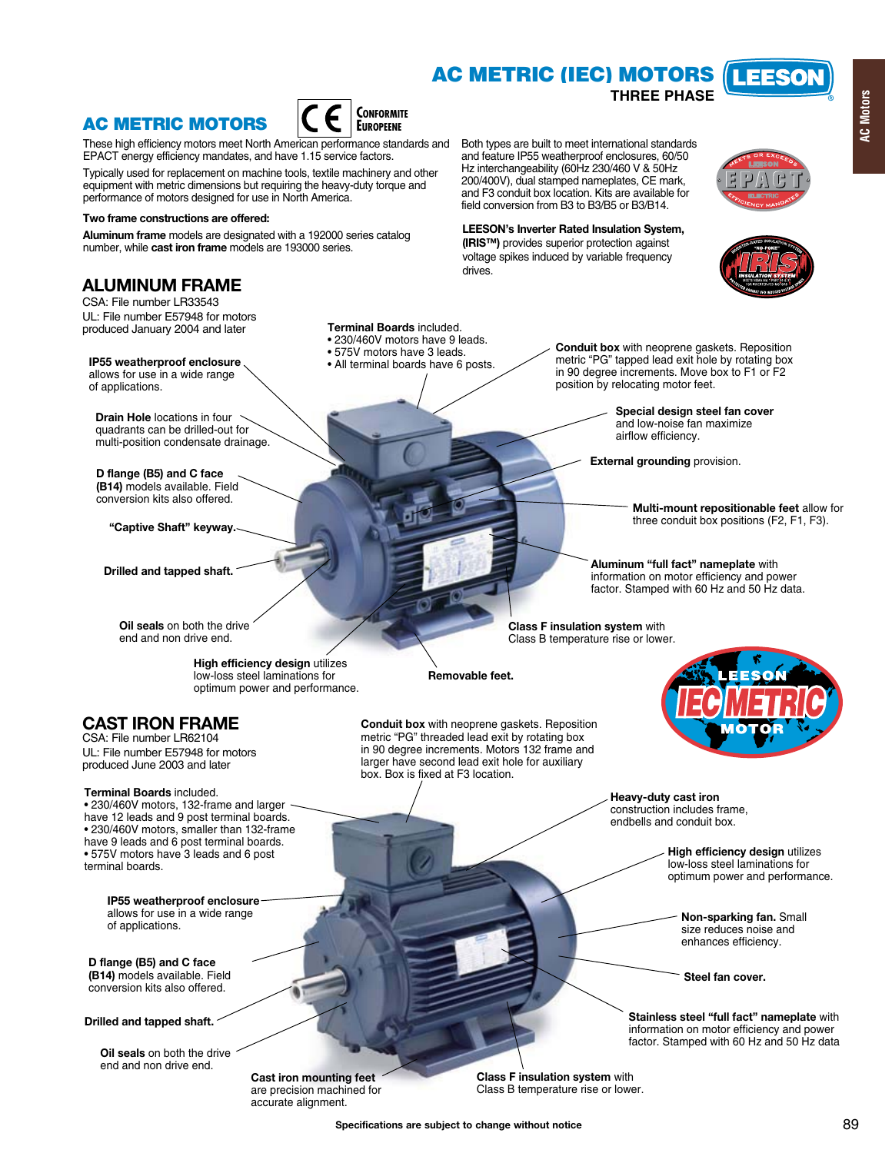# **AC METRIC (IEC) MOTORS**

Both types are built to meet international standards and feature IP55 weatherproof enclosures, 60/50 Hz interchangeability (60Hz 230/460 V & 50Hz 200/400V), dual stamped nameplates, CE mark, and F3 conduit box location. Kits are available for field conversion from B3 to B3/B5 or B3/B14.

**LEESON's Inverter Rated Insulation System, (IRIS™)** provides superior protection against voltage spikes induced by variable frequency

## **AC METRIC MOTORS**



These high efficiency motors meet North American performance standards and EPACT energy efficiency mandates, and have 1.15 service factors.

Typically used for replacement on machine tools, textile machinery and other equipment with metric dimensions but requiring the heavy-duty torque and performance of motors designed for use in North America.

### **Two frame constructions are offered:**

**Aluminum frame** models are designated with a 192000 series catalog number, while **cast iron frame** models are 193000 series.

### **ALUMINUM FRAME**

CSA: File number LR33543 UL: File number E57948 for motors produced January 2004 and later

**IP55 weatherproof enclosure**  allows for use in a wide range of applications.

**Drain Hole** locations in four quadrants can be drilled-out for multi-position condensate drainage.

**D flange (B5) and C face (B14)** models available. Field conversion kits also offered.

**"Captive Shaft" keyway.**

**Drilled and tapped shaft.**

**Oil seals** on both the drive end and non drive end.

> **High efficiency design** utilizes low-loss steel laminations for optimum power and performance.

## **CAST IRON FRAME**

CSA: File number LR62104 UL: File number E57948 for motors produced June 2003 and later

### **Terminal Boards** included.

• 230/460V motors, 132-frame and larger have 12 leads and 9 post terminal boards. • 230/460V motors, smaller than 132-frame have 9 leads and 6 post terminal boards. • 575V motors have 3 leads and 6 post terminal boards.

> **IP55 weatherproof enclosure**  allows for use in a wide range of applications.

**D flange (B5) and C face (B14)** models available. Field conversion kits also offered.

**Drilled and tapped shaft.**

**Oil seals** on both the drive end and non drive end.

**Terminal Boards** included.

- 230/460V motors have 9 leads.
- 575V motors have 3 leads
- All terminal boards have 6 posts.

**Conduit box** with neoprene gaskets. Reposition metric "PG" tapped lead exit hole by rotating box in 90 degree increments. Move box to F1 or F2 position by relocating motor feet.

**THREE PHASE**

**Special design steel fan cover** and low-noise fan maximize airflow efficiency.

**External grounding** provision.

**Multi-mount repositionable feet** allow for three conduit box positions (F2, F1, F3).

**Aluminum "full fact" nameplate** with information on motor efficiency and power factor. Stamped with 60 Hz and 50 Hz data.

**Class F insulation system** with Class B temperature rise or lower.

**Removable feet.** 

drives.

**Conduit box** with neoprene gaskets. Reposition metric "PG" threaded lead exit by rotating box in 90 degree increments. Motors 132 frame and larger have second lead exit hole for auxiliary box. Box is fixed at F3 location.



**Heavy-duty cast iron** construction includes frame, endbells and conduit box.

> **High efficiency design** utilizes low-loss steel laminations for optimum power and performance.

**Non-sparking fan.** Small size reduces noise and enhances efficiency.

**Steel fan cover.**

**Stainless steel "full fact" nameplate** with information on motor efficiency and power factor. Stamped with 60 Hz and 50 Hz data

**Cast iron mounting feet** are precision machined for accurate alignment.

**Class F insulation system** with Class B temperature rise or lower.



I FFSO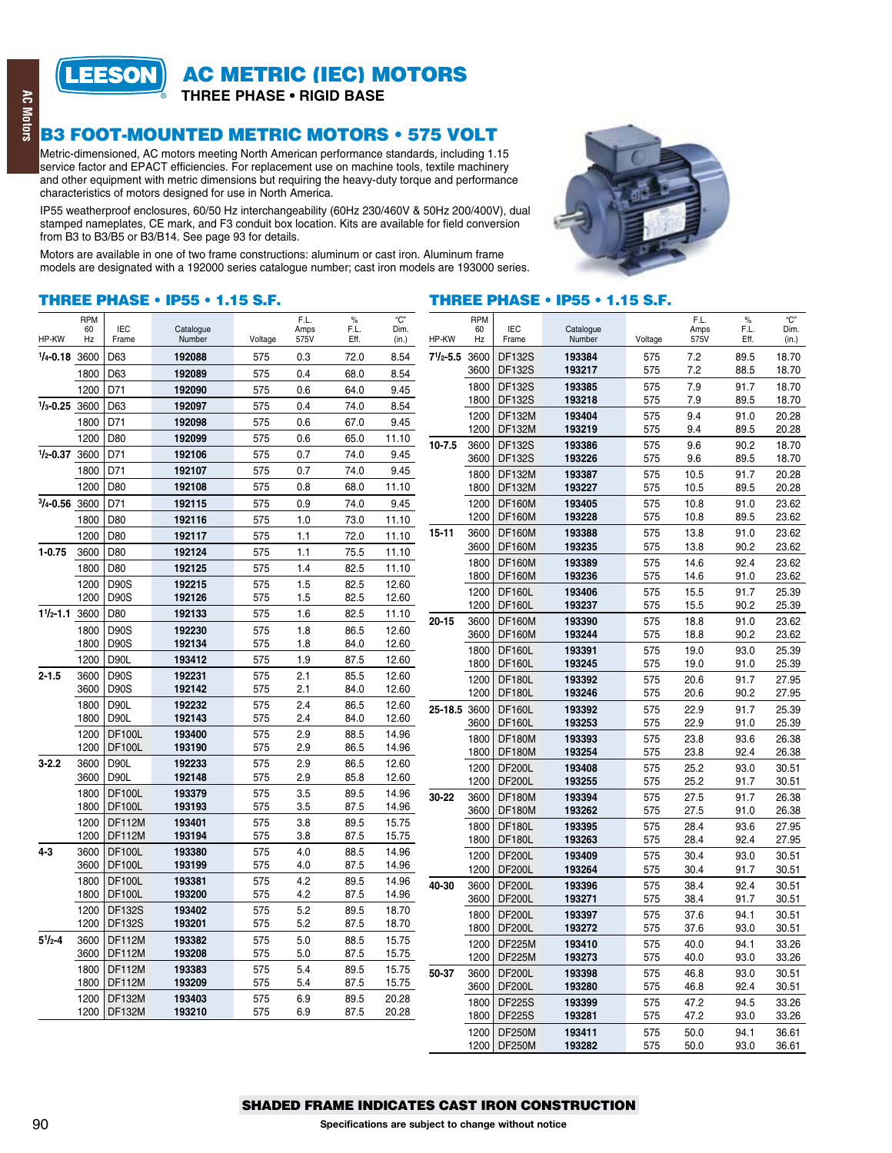

**AC METRIC (IEC) MOTORS** 

**THREE PHASE . RIGID BASE** 

### **B3 FOOT-MOUNTED METRIC MOTORS . 575 VOLT**

Metric-dimensioned, AC motors meeting North American performance standards, including 1.15 service factor and EPACT efficiencies. For replacement use on machine tools, textile machinery and other equipment with metric dimensions but requiring the heavy-duty torque and performance characteristics of motors designed for use in North America.

IP55 weatherproof enclosures, 60/50 Hz interchangeability (60Hz 230/460V & 50Hz 200/400V), dual stamped nameplates, CE mark, and F3 conduit box location. Kits are available for field conversion from B3 to B3/B5 or B3/B14. See page 93 for details.

Motors are available in one of two frame constructions: aluminum or cast iron. Aluminum frame models are designated with a 192000 series catalogue number; cast iron models are 193000 series.



### **THREE PHASE . IP55 . 1.15 S.F.**

### **THREE PHASE . IP55 . 1.15 S.F.**

| HP-KW             | <b>RPM</b><br>60<br>Hz | <b>IEC</b><br>Frame            | Catalogue<br>Number | Voltage    | F.L.<br>Amps<br>575V | $\%$<br>F.L.<br>Eff. | "С"<br>Dim.<br>(in.) | HP-KW              | <b>RPM</b><br>60<br>Hz | <b>IEC</b><br>Frame            | Catalogue<br>Number | Voltage    | F.L.<br>Amps<br>575V | $\%$<br>F.L.<br>Eff. | "С"<br>Dim.<br>(in.) |
|-------------------|------------------------|--------------------------------|---------------------|------------|----------------------|----------------------|----------------------|--------------------|------------------------|--------------------------------|---------------------|------------|----------------------|----------------------|----------------------|
| 1/4-0.18 3600     |                        | D63                            | 192088              | 575        | 0.3                  | 72.0                 | 8.54                 | $7^{1}/_{2} - 5.5$ | 3600                   | <b>DF132S</b>                  | 193384              | 575        | 7.2                  | 89.5                 | 18.70                |
|                   | 1800                   | D63                            | 192089              | 575        | 0.4                  | 68.0                 | 8.54                 |                    | 3600                   | <b>DF132S</b>                  | 193217              | 575        | 7.2                  | 88.5                 | 18.70                |
|                   | 1200                   | D71                            | 192090              | 575        | 0.6                  | 64.0                 | 9.45                 |                    | 1800                   | <b>DF132S</b>                  | 193385              | 575        | 7.9                  | 91.7                 | 18.70                |
| $1/3 - 0.25$      | 3600                   | D63                            | 192097              | 575        | 0.4                  | 74.0                 | 8.54                 |                    | 1800                   | <b>DF132S</b>                  | 193218              | 575        | 7.9                  | 89.5                 | 18.70                |
|                   | 1800                   | D71                            | 192098              | 575        | 0.6                  | 67.0                 | 9.45                 |                    | 1200<br>1200           | <b>DF132M</b><br><b>DF132M</b> | 193404<br>193219    | 575<br>575 | 9.4<br>9.4           | 91.0<br>89.5         | 20.28<br>20.28       |
|                   | 1200                   | D80                            | 192099              | 575        | 0.6                  | 65.0                 | 11.10                | $10 - 7.5$         | 3600                   | <b>DF132S</b>                  | 193386              | 575        | 9.6                  | 90.2                 | 18.70                |
| $1/2 - 0.37$      | 3600                   | D71                            | 192106              | 575        | 0.7                  | 74.0                 | 9.45                 |                    | 3600                   | <b>DF132S</b>                  | 193226              | 575        | 9.6                  | 89.5                 | 18.70                |
|                   | 1800                   | D71                            | 192107              | 575        | 0.7                  | 74.0                 | 9.45                 |                    | 1800                   | <b>DF132M</b>                  | 193387              | 575        | 10.5                 | 91.7                 | 20.28                |
|                   | 1200                   | D80                            | 192108              | 575        | 0.8                  | 68.0                 | 11.10                |                    | 1800                   | <b>DF132M</b>                  | 193227              | 575        | 10.5                 | 89.5                 | 20.28                |
| $3/4 - 0.56$ 3600 |                        | D71                            | 192115              | 575        | 0.9                  | 74.0                 | 9.45                 |                    | 1200                   | <b>DF160M</b>                  | 193405              | 575        | 10.8                 | 91.0                 | 23.62                |
|                   | 1800                   | D80                            | 192116              | 575        | 1.0                  | 73.0                 | 11.10                |                    | 1200                   | <b>DF160M</b>                  | 193228              | 575        | 10.8                 | 89.5                 | 23.62                |
|                   | 1200                   | D80                            | 192117              | 575        | 1.1                  | 72.0                 | 11.10                | $15 - 11$          | 3600                   | <b>DF160M</b>                  | 193388              | 575        | 13.8                 | 91.0                 | 23.62                |
| $1 - 0.75$        | 3600                   | D80                            | 192124              | 575        | 1.1                  | 75.5                 | 11.10                |                    | 3600                   | <b>DF160M</b>                  | 193235              | 575        | 13.8                 | 90.2                 | 23.62                |
|                   | 1800                   | D80                            | 192125              | 575        | 1.4                  | 82.5                 | 11.10                |                    | 1800<br>1800           | <b>DF160M</b><br><b>DF160M</b> | 193389<br>193236    | 575<br>575 | 14.6<br>14.6         | 92.4<br>91.0         | 23.62<br>23.62       |
|                   | 1200                   | <b>D90S</b>                    | 192215              | 575        | 1.5                  | 82.5                 | 12.60                |                    | 1200                   | <b>DF160L</b>                  | 193406              | 575        | 15.5                 | 91.7                 | 25.39                |
|                   | 1200                   | <b>D90S</b>                    | 192126              | 575        | 1.5                  | 82.5                 | 12.60                |                    | 1200                   | <b>DF160L</b>                  | 193237              | 575        | 15.5                 | 90.2                 | 25.39                |
| $11/2 - 1.1$      | 3600                   | D80                            | 192133              | 575        | 1.6                  | 82.5                 | 11.10                | $20 - 15$          | 3600                   | <b>DF160M</b>                  | 193390              | 575        | 18.8                 | 91.0                 | 23.62                |
|                   | 1800                   | <b>D90S</b>                    | 192230              | 575        | 1.8                  | 86.5                 | 12.60                |                    | 3600                   | <b>DF160M</b>                  | 193244              | 575        | 18.8                 | 90.2                 | 23.62                |
|                   | 1800                   | <b>D90S</b>                    | 192134              | 575        | 1.8                  | 84.0                 | 12.60                |                    | 1800                   | <b>DF160L</b>                  | 193391              | 575        | 19.0                 | 93.0                 | 25.39                |
|                   | 1200                   | <b>D90L</b>                    | 193412              | 575        | 1.9                  | 87.5                 | 12.60                |                    | 1800                   | <b>DF160L</b>                  | 193245              | 575        | 19.0                 | 91.0                 | 25.39                |
| $2 - 1.5$         | 3600<br>3600           | <b>D90S</b><br><b>D90S</b>     | 192231<br>192142    | 575<br>575 | 2.1<br>2.1           | 85.5<br>84.0         | 12.60<br>12.60       |                    | 1200                   | <b>DF180L</b>                  | 193392              | 575        | 20.6                 | 91.7                 | 27.95                |
|                   | 1800                   | D90L                           | 192232              | 575        | 2.4                  | 86.5                 | 12.60                |                    | 1200                   | <b>DF180L</b>                  | 193246              | 575        | 20.6                 | 90.2                 | 27.95                |
|                   | 1800                   | D90L                           | 192143              | 575        | 2.4                  | 84.0                 | 12.60                | 25-18.5            | 3600                   | <b>DF160L</b>                  | 193392              | 575        | 22.9                 | 91.7                 | 25.39                |
|                   | 1200                   | <b>DF100L</b>                  | 193400              | 575        | 2.9                  | 88.5                 | 14.96                |                    | 3600<br>1800           | <b>DF160L</b><br><b>DF180M</b> | 193253<br>193393    | 575<br>575 | 22.9<br>23.8         | 91.0<br>93.6         | 25.39<br>26.38       |
|                   | 1200                   | <b>DF100L</b>                  | 193190              | 575        | 2.9                  | 86.5                 | 14.96                |                    | 1800                   | <b>DF180M</b>                  | 193254              | 575        | 23.8                 | 92.4                 | 26.38                |
| $3 - 2.2$         | 3600                   | <b>D90L</b>                    | 192233              | 575        | 2.9                  | 86.5                 | 12.60                |                    | 1200                   | <b>DF200L</b>                  | 193408              | 575        | 25.2                 | 93.0                 | 30.51                |
|                   | 3600                   | <b>D90L</b>                    | 192148              | 575        | 2.9                  | 85.8                 | 12.60                |                    | 1200                   | <b>DF200L</b>                  | 193255              | 575        | 25.2                 | 91.7                 | 30.51                |
|                   | 1800                   | <b>DF100L</b>                  | 193379              | 575        | 3.5                  | 89.5                 | 14.96                | 30-22              | 3600                   | <b>DF180M</b>                  | 193394              | 575        | 27.5                 | 91.7                 | 26.38                |
|                   | 1800                   | <b>DF100L</b>                  | 193193              | 575        | 3.5                  | 87.5                 | 14.96                |                    | 3600                   | <b>DF180M</b>                  | 193262              | 575        | 27.5                 | 91.0                 | 26.38                |
|                   | 1200<br>1200           | <b>DF112M</b><br><b>DF112M</b> | 193401<br>193194    | 575<br>575 | 3.8<br>3.8           | 89.5<br>87.5         | 15.75<br>15.75       |                    | 1800                   | <b>DF180L</b>                  | 193395              | 575        | 28.4                 | 93.6                 | 27.95                |
| $4 - 3$           | 3600                   | <b>DF100L</b>                  | 193380              | 575        | 4.0                  | 88.5                 | 14.96                |                    | 1800                   | <b>DF180L</b>                  | 193263              | 575        | 28.4                 | 92.4                 | 27.95                |
|                   | 3600                   | <b>DF100L</b>                  | 193199              | 575        | 4.0                  | 87.5                 | 14.96                |                    | 1200                   | <b>DF200L</b>                  | 193409              | 575        | 30.4                 | 93.0                 | 30.51                |
|                   | 1800                   | <b>DF100L</b>                  | 193381              | 575        | 4.2                  | 89.5                 | 14.96                | 40-30              | 1200<br>3600           | <b>DF200L</b><br><b>DF200L</b> | 193264<br>193396    | 575<br>575 | 30.4<br>38.4         | 91.7<br>92.4         | 30.51<br>30.51       |
|                   | 1800                   | <b>DF100L</b>                  | 193200              | 575        | 4.2                  | 87.5                 | 14.96                |                    | 3600                   | <b>DF200L</b>                  | 193271              | 575        | 38.4                 | 91.7                 | 30.51                |
|                   | 1200                   | <b>DF132S</b>                  | 193402              | 575        | 5.2                  | 89.5                 | 18.70                |                    | 1800                   | <b>DF200L</b>                  | 193397              | 575        | 37.6                 | 94.1                 | 30.51                |
|                   | 1200                   | <b>DF132S</b>                  | 193201              | 575        | 5.2                  | 87.5                 | 18.70                |                    | 1800                   | <b>DF200L</b>                  | 193272              | 575        | 37.6                 | 93.0                 | 30.51                |
| $5^{1}/_{2} - 4$  | 3600                   | <b>DF112M</b>                  | 193382              | 575        | 5.0                  | 88.5                 | 15.75                |                    | 1200                   | <b>DF225M</b>                  | 193410              | 575        | 40.0                 | 94.1                 | 33.26                |
|                   | 3600                   | <b>DF112M</b>                  | 193208              | 575        | 5.0                  | 87.5                 | 15.75                |                    | 1200                   | <b>DF225M</b>                  | 193273              | 575        | 40.0                 | 93.0                 | 33.26                |
|                   | 1800                   | <b>DF112M</b>                  | 193383              | 575        | 5.4                  | 89.5                 | 15.75                | 50-37              | 3600                   | <b>DF200L</b>                  | 193398              | 575        | 46.8                 | 93.0                 | 30.51                |
|                   | 1800                   | <b>DF112M</b>                  | 193209              | 575        | 5.4                  | 87.5                 | 15.75                |                    | 3600                   | <b>DF200L</b>                  | 193280              | 575        | 46.8                 | 92.4                 | 30.51                |
|                   | 1200<br>1200           | <b>DF132M</b><br><b>DF132M</b> | 193403<br>193210    | 575<br>575 | 6.9<br>6.9           | 89.5<br>87.5         | 20.28<br>20.28       |                    | 1800                   | <b>DF225S</b>                  | 193399              | 575        | 47.2                 | 94.5                 | 33.26                |
|                   |                        |                                |                     |            |                      |                      |                      |                    | 1800                   | <b>DF225S</b>                  | 193281              | 575        | 47.2                 | 93.0                 | 33.26                |
|                   |                        |                                |                     |            |                      |                      |                      |                    | 1200<br>1200           | <b>DF250M</b><br><b>DF250M</b> | 193411<br>193282    | 575<br>575 | 50.0<br>50.0         | 94.1<br>93.0         | 36.61<br>36.61       |
|                   |                        |                                |                     |            |                      |                      |                      |                    |                        |                                |                     |            |                      |                      |                      |

### **SHADED FRAME INDICATES CAST IRON CONSTRUCTION**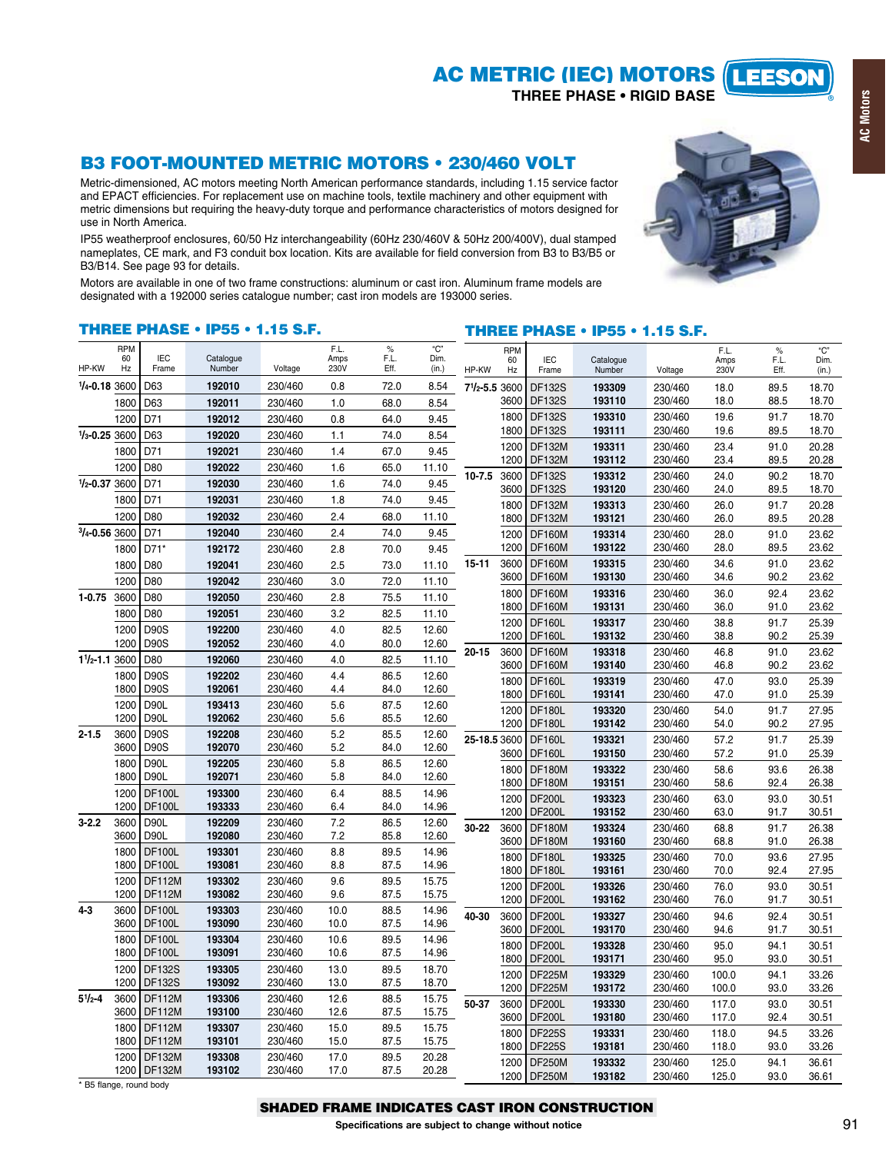#### **AC METRIC (IEC) MOTORS LEESON**

**THREE PHASE . RIGID BASE** 

# **B3 FOOT-MOUNTED METRIC MOTORS . 230/460 VOLT**

Metric-dimensioned, AC motors meeting North American performance standards, including 1.15 service factor and EPACT efficiencies. For replacement use on machine tools, textile machinery and other equipment with metric dimensions but requiring the heavy-duty torque and performance characteristics of motors designed for use in North America.

IP55 weatherproof enclosures, 60/50 Hz interchangeability (60Hz 230/460V & 50Hz 200/400V), dual stamped nameplates, CE mark, and F3 conduit box location. Kits are available for field conversion from B3 to B3/B5 or B3/B14. See page 93 for details.

Motors are available in one of two frame constructions: aluminum or cast iron. Aluminum frame models are designated with a 192000 series catalogue number; cast iron models are 193000 series.

### **THREE PHASE . IP55 . 1.15 S.F.**

### **THREE PHASE . IP55 . 1.15 S.F.**

| HP-KW                    | <b>RPM</b><br>60<br>Hz | <b>IEC</b><br>Frame            | Catalogue<br>Number | Voltage            | F.L.<br>Amps<br>230V | $\%$<br>F.L<br>Eff. | "С"<br>Dim.<br>(in.) | HP-KW              | <b>RPM</b><br>60<br>Hz | <b>IEC</b><br>Frame            | Catalogue<br>Number | Voltage            | F.L.<br>Amps<br>230V | $\%$<br>F.L.<br>Eff. | "C"<br>Dim.<br>(in.) |
|--------------------------|------------------------|--------------------------------|---------------------|--------------------|----------------------|---------------------|----------------------|--------------------|------------------------|--------------------------------|---------------------|--------------------|----------------------|----------------------|----------------------|
| $1/4 - 0.183600$         |                        | D63                            | 192010              | 230/460            | 0.8                  | 72.0                | 8.54                 | $7^{1}/_{2} - 5.5$ | 3600                   | <b>DF132S</b>                  | 193309              | 230/460            | 18.0                 | 89.5                 | 18.70                |
|                          | 1800                   | D63                            | 192011              | 230/460            | 1.0                  | 68.0                | 8.54                 |                    | 3600                   | <b>DF132S</b>                  | 193110              | 230/460            | 18.0                 | 88.5                 | 18.70                |
|                          | 1200                   | D71                            | 192012              | 230/460            | 0.8                  | 64.0                | 9.45                 |                    | 1800                   | <b>DF132S</b>                  | 193310              | 230/460            | 19.6                 | 91.7                 | 18.70                |
| $1/3 - 0.253600$         |                        | D63                            | 192020              | 230/460            | 1.1                  | 74.0                | 8.54                 |                    | 1800                   | <b>DF132S</b>                  | 193111              | 230/460            | 19.6                 | 89.5                 | 18.70                |
|                          | 1800                   | D71                            | 192021              | 230/460            | 1.4                  | 67.0                | 9.45                 |                    | 1200                   | <b>DF132M</b>                  | 193311              | 230/460            | 23.4                 | 91.0                 | 20.28                |
|                          | 1200                   | D80                            | 192022              | 230/460            | 1.6                  | 65.0                | 11.10                |                    | 1200                   | <b>DF132M</b>                  | 193112              | 230/460            | 23.4                 | 89.5                 | 20.28                |
| $1/2 - 0.37$             | 3600                   | D71                            | 192030              | 230/460            | 1.6                  | 74.0                | 9.45                 | $10 - 7.5$         | 3600<br>3600           | <b>DF132S</b><br><b>DF132S</b> | 193312<br>193120    | 230/460<br>230/460 | 24.0<br>24.0         | 90.2<br>89.5         | 18.70<br>18.70       |
|                          | 1800                   | D71                            | 192031              | 230/460            | 1.8                  | 74.0                | 9.45                 |                    | 1800                   | <b>DF132M</b>                  | 193313              | 230/460            | 26.0                 | 91.7                 | 20.28                |
|                          | 1200                   | D80                            | 192032              | 230/460            | 2.4                  | 68.0                | 11.10                |                    | 1800                   | <b>DF132M</b>                  | 193121              | 230/460            | 26.0                 | 89.5                 | 20.28                |
| $3/4 - 0.563600$         |                        | D71                            | 192040              | 230/460            | 2.4                  | 74.0                | 9.45                 |                    | 1200                   | <b>DF160M</b>                  | 193314              | 230/460            | 28.0                 | 91.0                 | 23.62                |
|                          | 1800                   | D71*                           | 192172              | 230/460            | 2.8                  | 70.0                | 9.45                 |                    | 1200                   | <b>DF160M</b>                  | 193122              | 230/460            | 28.0                 | 89.5                 | 23.62                |
|                          | 1800                   | D80                            | 192041              | 230/460            | 2.5                  | 73.0                | 11.10                | $15 - 11$          | 3600                   | <b>DF160M</b>                  | 193315              | 230/460            | 34.6                 | 91.0                 | 23.62                |
|                          | 1200                   | D80                            | 192042              | 230/460            | 3.0                  | 72.0                | 11.10                |                    | 3600                   | <b>DF160M</b>                  | 193130              | 230/460            | 34.6                 | 90.2                 | 23.62                |
| $1 - 0.75$               | 3600                   | D80                            | 192050              | 230/460            | 2.8                  | 75.5                | 11.10                |                    | 1800                   | <b>DF160M</b>                  | 193316              | 230/460            | 36.0                 | 92.4                 | 23.62                |
|                          | 1800                   | D80                            | 192051              | 230/460            | 3.2                  | 82.5                | 11.10                |                    | 1800                   | <b>DF160M</b>                  | 193131              | 230/460            | 36.0                 | 91.0                 | 23.62                |
|                          | 1200                   | <b>D90S</b>                    | 192200              | 230/460            | 4.0                  | 82.5                | 12.60                |                    | 1200<br>1200           | <b>DF160L</b><br><b>DF160L</b> | 193317<br>193132    | 230/460<br>230/460 | 38.8<br>38.8         | 91.7<br>90.2         | 25.39<br>25.39       |
|                          | 1200                   | <b>D90S</b>                    | 192052              | 230/460            | 4.0                  | 80.0                | 12.60                | $20 - 15$          | 3600                   | <b>DF160M</b>                  | 193318              | 230/460            | 46.8                 | 91.0                 | 23.62                |
| $1\frac{1}{2} - 1.13600$ |                        | D80                            | 192060              | 230/460            | 4.0                  | 82.5                | 11.10                |                    | 3600                   | <b>DF160M</b>                  | 193140              | 230/460            | 46.8                 | 90.2                 | 23.62                |
|                          | 1800                   | <b>D90S</b>                    | 192202              | 230/460            | 4.4                  | 86.5                | 12.60                |                    | 1800                   | <b>DF160L</b>                  | 193319              | 230/460            | 47.0                 | 93.0                 | 25.39                |
|                          | 1800                   | <b>D90S</b>                    | 192061              | 230/460            | 4.4                  | 84.0                | 12.60                |                    | 1800                   | <b>DF160L</b>                  | 193141              | 230/460            | 47.0                 | 91.0                 | 25.39                |
|                          | 1200<br>1200           | D90L<br><b>D90L</b>            | 193413<br>192062    | 230/460<br>230/460 | 5.6<br>5.6           | 87.5<br>85.5        | 12.60<br>12.60       |                    | 1200                   | <b>DF180L</b>                  | 193320              | 230/460            | 54.0                 | 91.7                 | 27.95                |
| $2 - 1.5$                | 3600                   | <b>D90S</b>                    | 192208              | 230/460            | 5.2                  | 85.5                | 12.60                |                    | 1200                   | <b>DF180L</b>                  | 193142              | 230/460            | 54.0                 | 90.2                 | 27.95                |
|                          | 3600                   | <b>D90S</b>                    | 192070              | 230/460            | 5.2                  | 84.0                | 12.60                | 25-18.5 3600       |                        | <b>DF160L</b>                  | 193321              | 230/460            | 57.2                 | 91.7                 | 25.39                |
|                          | 1800                   | D90L                           | 192205              | 230/460            | 5.8                  | 86.5                | 12.60                |                    | 3600                   | <b>DF160L</b>                  | 193150              | 230/460            | 57.2                 | 91.0                 | 25.39                |
|                          | 1800                   | <b>D90L</b>                    | 192071              | 230/460            | 5.8                  | 84.0                | 12.60                |                    | 1800<br>1800           | <b>DF180M</b><br><b>DF180M</b> | 193322<br>193151    | 230/460<br>230/460 | 58.6<br>58.6         | 93.6<br>92.4         | 26.38<br>26.38       |
|                          | 1200                   | <b>DF100L</b>                  | 193300              | 230/460            | 6.4                  | 88.5                | 14.96                |                    | 1200                   | <b>DF200L</b>                  | 193323              | 230/460            | 63.0                 | 93.0                 | 30.51                |
|                          | 1200                   | <b>DF100L</b>                  | 193333              | 230/460            | 6.4                  | 84.0                | 14.96                |                    | 1200                   | <b>DF200L</b>                  | 193152              | 230/460            | 63.0                 | 91.7                 | 30.51                |
| $3 - 2.2$                | 3600                   | <b>D90L</b>                    | 192209              | 230/460            | 7.2                  | 86.5                | 12.60                | 30-22              | 3600                   | <b>DF180M</b>                  | 193324              | 230/460            | 68.8                 | 91.7                 | 26.38                |
|                          | 3600                   | <b>D90L</b>                    | 192080              | 230/460            | 7.2                  | 85.8                | 12.60                |                    | 3600                   | <b>DF180M</b>                  | 193160              | 230/460            | 68.8                 | 91.0                 | 26.38                |
|                          | 1800<br>1800           | <b>DF100L</b><br><b>DF100L</b> | 193301<br>193081    | 230/460<br>230/460 | 8.8<br>8.8           | 89.5<br>87.5        | 14.96<br>14.96       |                    | 1800                   | <b>DF180L</b>                  | 193325              | 230/460            | 70.0                 | 93.6                 | 27.95                |
|                          | 1200                   | <b>DF112M</b>                  | 193302              | 230/460            | 9.6                  | 89.5                | 15.75                |                    | 1800                   | <b>DF180L</b>                  | 193161              | 230/460            | 70.0                 | 92.4                 | 27.95                |
|                          | 1200                   | <b>DF112M</b>                  | 193082              | 230/460            | 9.6                  | 87.5                | 15.75                |                    | 1200<br>1200           | <b>DF200L</b><br><b>DF200L</b> | 193326<br>193162    | 230/460<br>230/460 | 76.0<br>76.0         | 93.0<br>91.7         | 30.51<br>30.51       |
| $4 - 3$                  | 3600                   | <b>DF100L</b>                  | 193303              | 230/460            | 10.0                 | 88.5                | 14.96                | 40-30              | 3600                   | <b>DF200L</b>                  | 193327              | 230/460            | 94.6                 | 92.4                 | 30.51                |
|                          | 3600                   | <b>DF100L</b>                  | 193090              | 230/460            | 10.0                 | 87.5                | 14.96                |                    | 3600                   | <b>DF200L</b>                  | 193170              | 230/460            | 94.6                 | 91.7                 | 30.51                |
|                          | 1800                   | <b>DF100L</b>                  | 193304              | 230/460            | 10.6                 | 89.5                | 14.96                |                    | 1800                   | <b>DF200L</b>                  | 193328              | 230/460            | 95.0                 | 94.1                 | 30.51                |
|                          | 1800                   | <b>DF100L</b>                  | 193091              | 230/460            | 10.6                 | 87.5                | 14.96                |                    | 1800                   | <b>DF200L</b>                  | 193171              | 230/460            | 95.0                 | 93.0                 | 30.51                |
|                          | 1200                   | <b>DF132S</b>                  | 193305              | 230/460            | 13.0                 | 89.5                | 18.70                |                    | 1200                   | <b>DF225M</b>                  | 193329              | 230/460            | 100.0                | 94.1                 | 33.26                |
|                          | 1200                   | <b>DF132S</b>                  | 193092              | 230/460            | 13.0                 | 87.5                | 18.70                |                    | 1200                   | <b>DF225M</b>                  | 193172              | 230/460            | 100.0                | 93.0                 | 33.26                |
| $5^{1/2-4}$              | 3600<br>3600           | <b>DF112M</b><br><b>DF112M</b> | 193306<br>193100    | 230/460<br>230/460 | 12.6<br>12.6         | 88.5<br>87.5        | 15.75<br>15.75       | 50-37              | 3600                   | <b>DF200L</b>                  | 193330              | 230/460            | 117.0                | 93.0                 | 30.51                |
|                          | 1800                   | <b>DF112M</b>                  | 193307              | 230/460            | 15.0                 | 89.5                | 15.75                |                    | 3600                   | <b>DF200L</b>                  | 193180              | 230/460            | 117.0                | 92.4                 | 30.51                |
|                          | 1800                   | <b>DF112M</b>                  | 193101              | 230/460            | 15.0                 | 87.5                | 15.75                |                    | 1800                   | <b>DF225S</b>                  | 193331              | 230/460            | 118.0                | 94.5                 | 33.26                |
|                          | 1200                   | <b>DF132M</b>                  | 193308              | 230/460            | 17.0                 | 89.5                | 20.28                |                    | 1800                   | <b>DF225S</b>                  | 193181              | 230/460            | 118.0<br>125.0       | 93.0                 | 33.26                |
|                          |                        | 1200 DF132M                    | 193102              | 230/460            | 17.0                 | 87.5                | 20.28                |                    | 1200<br>1200           | <b>DF250M</b><br><b>DF250M</b> | 193332<br>193182    | 230/460<br>230/460 | 125.0                | 94.1<br>93.0         | 36.61<br>36.61       |
| * B5 flange, round body  |                        |                                |                     |                    |                      |                     |                      |                    |                        |                                |                     |                    |                      |                      |                      |



### **SHADED FRAME INDICATES CAST IRON CONSTRUCTION**

Specifications are subject to change without notice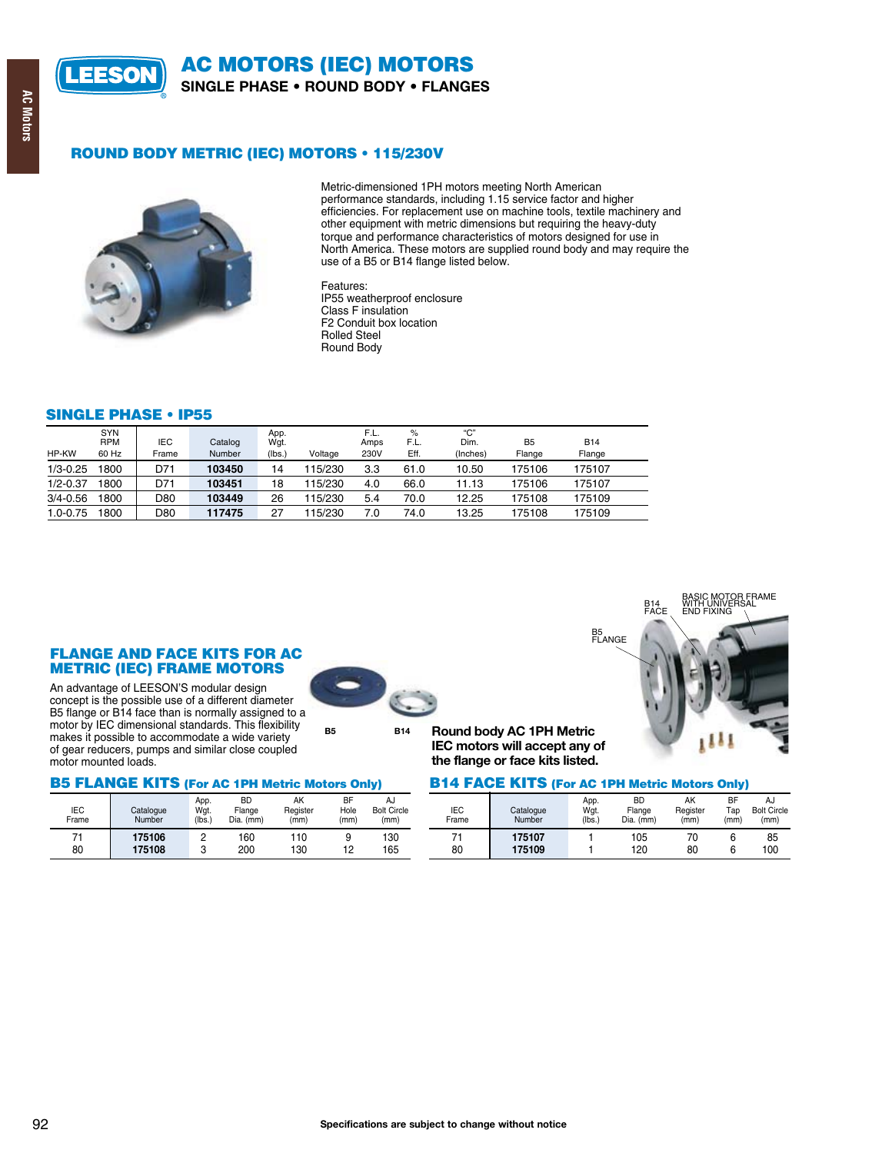

**AC MOTORS (IEC) MOTORS SINGLE PHASE . ROUND BODY . FLANGES** 

# **AC Motors**

### **ROUND BODY METRIC (IEC) MOTORS . 115/230V**



Metric-dimensioned 1PH motors meeting North American performance standards, including 1.15 service factor and higher efficiencies. For replacement use on machine tools, textile machinery and other equipment with metric dimensions but requiring the heavy-duty torque and performance characteristics of motors designed for use in North America. These motors are supplied round body and may require the use of a B5 or B14 flange listed below.

Features: IP55 weatherproof enclosure Class F insulation F2 Conduit box location **Rolled Steel** Round Body

### **SINGLE PHASE . IP55**

| <b>SYN</b><br><b>RPM</b><br>60 Hz | <b>IEC</b><br>Frame | Catalog<br>Number | App.<br>Wgt.<br>(lbs.) | Voltage | F.L.<br>Amps<br>230V | $\%$<br>F.L.<br>Eff. | "С"<br>Dim.<br>(Inches) | B <sub>5</sub><br>Flange | <b>B14</b><br>Flange |  |
|-----------------------------------|---------------------|-------------------|------------------------|---------|----------------------|----------------------|-------------------------|--------------------------|----------------------|--|
| 800                               | D71                 | 103450            | 14                     | 115/230 | 3.3                  | 61.0                 | 10.50                   | 175106                   | 175107               |  |
| 1800                              | D71                 | 103451            | 18                     | 115/230 | 4.0                  | 66.0                 | 11.13                   | 175106                   | 175107               |  |
| 1800                              | D80                 | 103449            | 26                     | 115/230 | 5.4                  | 70.0                 | 12.25                   | 175108                   | 175109               |  |
| 1800                              | D80                 | 117475            | 27                     | 15/230  | 7.0                  | 74.0                 | 13.25                   | 175108                   | 175109               |  |
|                                   |                     |                   |                        |         |                      |                      |                         |                          |                      |  |



Catalogue

Number

175106

175108

An advantage of LEESON'S modular design concept is the possible use of a different diameter B5 flange or B14 face than is normally assigned to a motor by IEC dimensional standards. This flexibility makes it possible to accommodate a wide variety of gear reducers, pumps and similar close coupled motor mounted loads.

**B5 FLANGE KITS (For AC 1PH Metric Motors Only)** 

App.

Wgt.

 $(lbs.)$ 

 $\overline{2}$ 

 $\ensuremath{\mathsf{3}}$ 

# **B5 B14**



Round body AC 1PH Metric IEC motors will accept any of the flange or face kits listed.

### **B14 FACE KITS (For AC 1PH Metric Motors Only)**

| <b>BD</b><br>Flange<br>Dia. (mm) | AK<br>Register<br>(mm) | BF<br>Hole<br>(mm) | AJ<br><b>Bolt Circle</b><br>(mm) | <b>IEC</b><br>Frame | Catalogue<br>Number | App.<br>Wgt.<br>(lbs. | <b>BD</b><br>Flange<br>Dia. (mm) | AK<br>Register<br>(mm) | <b>BF</b><br>Tap<br>(mm) | AJ<br><b>Bolt Circle</b><br>(mm) |
|----------------------------------|------------------------|--------------------|----------------------------------|---------------------|---------------------|-----------------------|----------------------------------|------------------------|--------------------------|----------------------------------|
| 160<br>200                       | 110<br>130             | 10<br>$\sim$       | 130<br>165                       | 80                  | 175107<br>175109    |                       | 105<br>120                       | 70<br>80               |                          | 85<br>100                        |

IFC.

Frame

 $71$ 

80